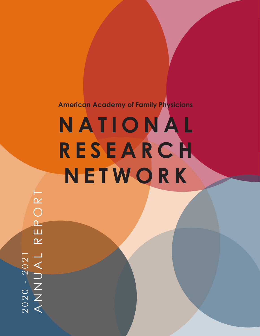# **N A T I O N A L R E S E A R C H NETWORK American Academy of Family Physicians**

REPORT ANNUAL REPORT 2020 - 2021<br>ANNUAL 2020 - 2021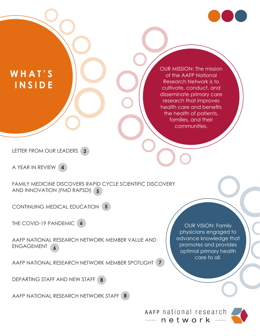

## **WHAT'S I N S I D E**

OUR MISSION: The mission of the AAFP National Research Network is to cultivate, conduct, and disseminate primary care research that improves health care and benefits the health of patients, families, and their communities.

LETTER FROM OUR LEADERS **3**

A YEAR IN REVIEW **4**

FAMILY MEDICINE DISCOVERS RAPID CYCLE SCIENTIFIC DISCOVERY AND INNOVATION (FMD RAPSDI) **5**

CONTINUING MEDICAL EDUCATION **5**

THE COVID-19 PANDEMIC **6**

AAFP NATIONAL RESEARCH NETWORK MEMBER VALUE AND ENGAGEMENT **6**

AAFP NATIONAL RESEARCH NETWORK MEMBER SPOTLIGHT **7**

DEPARTING STAFF AND NEW STAFF **8**

AAFP NATIONAL RESEARCH NETWORK STAFF **8**

OUR VISION: Family physicians engaged to advance knowledge that promotes and provides optimal primary health care to all.

AAFP national research  $-$  network -

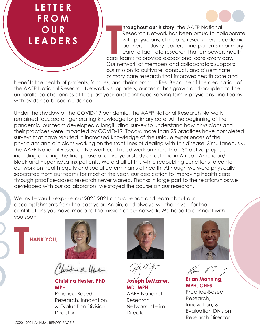### **LETTER FROM OUR LEADERS**

**hroughout our history**, the AAFP National Research Network has been proud to collaborate with physicians, clinicians, researchers, academic partners, industry leaders, and patients in primary care to facilitate research that empowers health care teams to provide exceptional care every day. Our network of members and collaborators supports our mission to cultivate, conduct, and disseminate primary care research that improves health care and

benefits the health of patients, families, and their communities. Because of the dedication of the AAFP National Research Network's supporters, our team has grown and adapted to the unparalleled challenges of the past year and continued serving family physicians and teams with evidence-based auidance.

Under the shadow of the COVID-19 pandemic, the AAFP National Research Network remained focused on generating knowledge for primary care. At the beginning of the pandemic, our team developed a longitudinal survey to understand how physicians and their practices were impacted by COVID-19. Today, more than 25 practices have completed surveys that have resulted in increased knowledge of the unique experiences of the physicians and clinicians working on the front lines of dealing with this disease. Simultaneously, the AAFP National Research Network continued work on more than 30 active projects, including entering the final phase of a five-year study on asthma in African American/ Black and Hispanic/Latinx patients. We did all of this while redoubling our efforts to center our work on health equity and social determinants of health. Although we were physically separated from our teams for most of the year, our dedication to improving health care through practice-based research never waned. Thanks in large part to the relationships we developed with our collaborators, we stayed the course on our research.

We invite you to explore our 2020-2021 annual report and learn about our accomplishments from the past year. Again, and always, we thank you for the contributions you have made to the mission of our network. We hope to connect with you soon.

**THANK YOU,** 



histina the Hater

**Christina Hester, PhD, MPH**

Practice-Based Research, Innovation, & Evaluation Division **Director** 



**Joseph LeMaster, MD, MPH** AAFP National Research Network Interim **Director** 



**Brian Manning, MPH, CHES** Practice-Based Research, Innovation, & Evaluation Division Research Director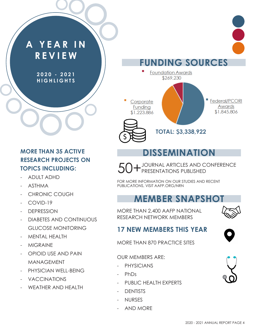# **A Y E A R I N REVIEW**

**2 0 2 0 - 2 0 2 1 H I G H L I G H T S** 

#### **MORE THAN 35 ACTIVE RESEARCH PROJECTS ON TOPICS INCLUDING:**

- ADULT ADHD
- ASTHMA
- CHRONIC COUGH
- COVID-19
- DEPRESSION
- DIABETES AND CONTINUOUS GLUCOSE MONITORING
- MENTAL HEALTH
- **MIGRAINE**
- OPIOID USE AND PAIN MANAGEMENT
- PHYSICIAN WELL-BEING
- **VACCINATIONS**
- WEATHER AND HEALTH





# **DISSEMINATION**

JOURNAL ARTICLES AND CONFERENCE PRESENTATIONS PUBLISHED

FOR MORE INFORMATION ON OUR STUDIES AND RECENT PUBLICATIONS, VISIT AAFP.ORG/NRN

#### **MEMBER SNAPSHOT**

MORE THAN 2,400 AAFP NATIONAL RESEARCH NETWORK MEMBERS



#### **17 NEW MEMBERS THIS YEAR**

MORE THAN 870 PRACTICE SITES

#### OUR MEMBERS ARE:

- **PHYSICIANS**
- Ph<sub>Ds</sub>
- PUBLIC HEALTH EXPERTS
- **DENTISTS**
- NURSES
- AND MORE

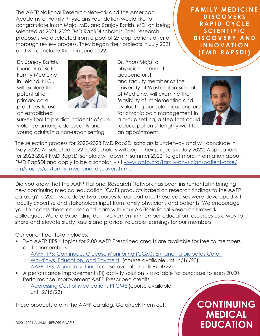The AAFP National Research Network and the American Academy of Family Physicians Foundation would like to congratulate Iman Majd, MD, and Sanjay Batish, MD, on being selected as 2021-2022 FMD RapSDI scholars. Their research proposals were selected from a pool of 27 applications after a thorough review process. They began their projects in July 2021 and will conclude them in June 2022.

*Dr. Sanjay Batish,* founder of Batish Family Medicine in Leland, N.C., will explore the potential for primary care practices to use an established



survey tool to predict incidents of gun violence among adolescents and young adults in a non-urban setting.

*Dr. Iman Majd*, a physician, licensed acupuncturist, and faculty member at the University of Washington School of Medicine, will examine the feasibility of implementing and evaluating auricular acupuncture for chronic pain management in a group setting, a step that could reduce patients' lengthy wait for an appointment.

**FAMILY MEDICINE D I S C O V E R S RAPID CYCLE S C I E N T I F I C D I S C O V E R Y A N D I N N O V A T I O N (FMD RAPSDI)**



The selection process for 2022-2023 FMD RapSDI scholars is underway and will conclude in May 2022. All selected 2022-2023 scholars will begin their projects in July 2022. Applications for 2023-2024 FMD RapSDI scholars will open in summer 2022. To get more information about FMD RapSDI and apply to be a scholar, visit [www.aafp.org/family-physician/patient-care/](https://www.aafp.org/family-physician/patient-care/nrn/studies/all/family_medicine_discovers.html) [nrn/studies/all/family\\_medicine\\_discovers.html](https://www.aafp.org/family-physician/patient-care/nrn/studies/all/family_medicine_discovers.html).

Did you know that the AAFP National Research Network has been instrumental in bringing new continuing medical education (CME) products based on research findings to the AAFP catalog? In 2021, we added two courses to our portfolio. These courses were developed with faculty expertise and stakeholder input from family physicians and patients. We encourage you to access these courses and learn with your AAFP National Research Network colleagues. We are expanding our involvement in member education resources as a way to share and elevate study results and provide valuable learnings for our members.

Our current portfolio includes:

- Two AAFP TIPS™ topics for 2.00 AAFP Prescribed credits are available for free to members and nonmembers.
	- AAFP TIPS: Continuous Glucose Monitoring (CGM): Enhancing Diabetes Care, [Workflows, Education, and Payment](https://lms.aafp.org/course/tips-cgm#group-tabs-node-course-default4) (course available until 4/16/23)
	- [AAFP TIPS: Agenda Setting](https://lms.aafp.org/node/40551#group-tabs-node-course-default1) (course available until 9/14/22)
- A performance improvement (PI) activity solution is available for purchase to earn 20.00 Performance Improvement AAFP Prescribed credits.
	- Addressing [Cost of Medications PI CME](https://www.aafp.org/cme/all/online/addressing-cost-of-medications.html) (course available until 2/15/23)

These products are in the AAFP catalog. Go check them out!

**CONTINUING MEDICAL EDUCATION**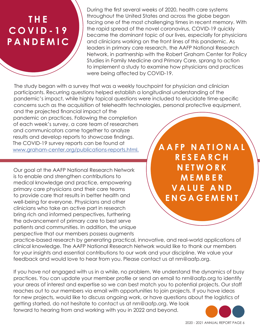# **T H E C O V I D - 1 9 PANDEMIC**

During the first several weeks of 2020, health care systems throughout the United States and across the globe began facing one of the most challenging times in recent memory. With the rapid spread of the novel coronavirus, COVID-19 quickly became the dominant topic of our lives, especially for physicians and clinicians working on the front lines of this pandemic. As leaders in primary care research, the AAFP National Research Network, in partnership with the Robert Graham Center for Policy Studies in Family Medicine and Primary Care, sprang to action to implement a study to examine how physicians and practices were being affected by COVID-19.

The study began with a survey that was a weekly touchpoint for physician and clinician participants. Recurring questions helped establish a longitudinal understanding of the pandemic's impact, while highly topical questions were included to elucidate time-specific concerns such as the acquisition of telehealth technologies, personal protective equipment, and the projected financial impact of the

pandemic on practices. Following the completion of each week's survey, a core team of researchers and communicators came together to analyze results and develop reports to showcase findings. The COVID-19 survey reports can be found at [www.graham-center.org/publications-reports.html.](https://www.graham-center.org/publications-reports.html)

Our goal at the AAFP National Research Network is to enable and strengthen contributions to medical knowledge and practice, empowering primary care physicians and their care teams to provide care that results in better health and well-being for everyone. Physicians and other clinicians who take an active part in research bring rich and informed perspectives, furthering the advancement of primary care to best serve patients and communities. In addition, the unique perspective that our members possess augments

**A A F P N A T I O N A L R E S E A R C H NETWORK M E M B E R V A L U E A N D ENGAGEMENT** 

practice-based research by generating practical, innovative, and real-world applications of clinical knowledge. The AAFP National Research Network would like to thank our members for your insights and essential contributions to our work and your discipline. We value your feedback and would love to hear from you. Please contact us at nrn@aafp.org.

If you have not engaged with us in a while, no problem. We understand the dynamics of busy practices. You can update your member profile or send an email to nrn@aafp.org to identify your areas of interest and expertise so we can best match you to potential projects. Our staff reaches out to our members via email with opportunities to join projects. If you have ideas for new projects, would like to discuss ongoing work, or have questions about the logistics of getting started, do not hesitate to contact us at nrn@aafp.org. We look forward to hearing from and working with you in 2022 and beyond.

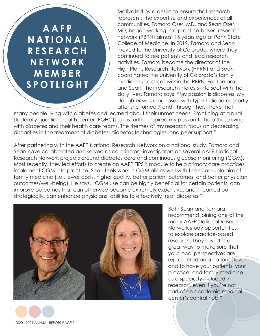**A A F P N A T I O N A L R E S E A R C H N E T W O R K MEMBER SPOTLIGHT**

Motivated by a desire to ensure that research represents the expertise and experiences of all communities, Tamara Oser, MD, and Sean Oser, MD, began working in a practice-based research network (PBRN) almost 15 years ago at Penn State College of Medicine. In 2019, Tamara and Sean moved to the University of Colorado, where they continued to see patients and lead research activities. Tamara became the director of the High Plains Research Network (HPRN) and Sean coordinated the University of Colorado's family medicine practices within the PBRN. For Tamara and Sean, their research interests intersect with their daily lives. Tamara says, "My passion is diabetes. My daughter was diagnosed with type 1 diabetes shortly after she turned 7 and, through her, I have met

many people living with diabetes and learned about their unmet needs. Practicing at a rural [federally qualified health center (FQHC)]…has further inspired my passion to help those living with diabetes and their health care teams. The themes of my research focus on decreasing disparities in the treatment of diabetes, diabetes technologies, and peer support."

After partnering with the AAFP National Research Network on a national study, Tamara and Sean have collaborated and served as co-principal investigators on several AAFP National Research Network projects around diabetes care and continuous glucose monitoring (CGM). Most recently, they led efforts to create an AAFP TIPS™ module to help primary care practices implement CGM into practice. Sean feels work in CGM aligns well with the quadruple aim of family medicine (i.e., lower costs, higher quality, better patient outcomes, and better physician outcomes/well-being). He says, "CGM use can be highly beneficial for certain patients, can improve outcomes that can otherwise become extremely expensive, and, if carried out strategically, can enhance physicians' abilities to effectively treat diabetes."



Both Sean and Tamara recommend joining one of the many AAFP National Research Network study opportunities to explore practice-based research. They say, "It's a great way to make sure that your local perspectives are represented on a national level and to have your patients, your practice, and family medicine as a specialty included in research, even if you're not part of an academic medical center's central hub."

2020 - 2021 ANNUAL REPORT PAGE 7